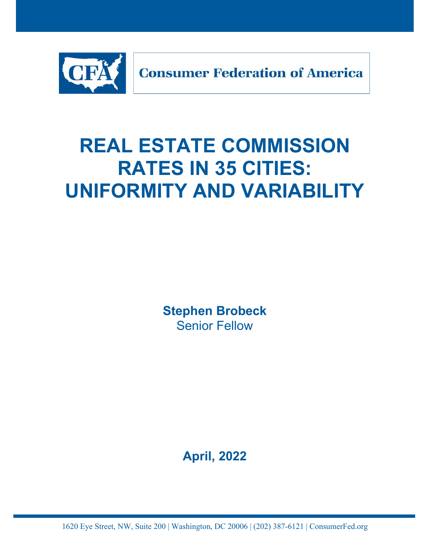

# **REAL ESTATE COMMISSION RATES IN 35 CITIES: UNIFORMITY AND VARIABILITY**

**Stephen Brobeck** Senior Fellow

**April, 2022**

1620 Eye Street, NW, Suite 200 | Washington, DC 20006 | (202) 387-6121 | ConsumerFed.org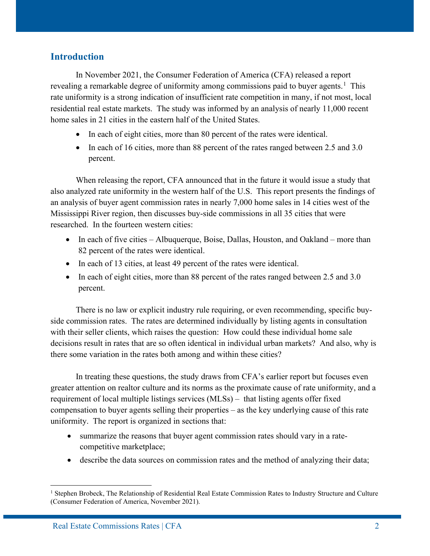#### **Introduction**

In November 2021, the Consumer Federation of America (CFA) released a report revealing a remarkable degree of uniformity among commissions paid to buyer agents.<sup>[1](#page-1-0)</sup> This rate uniformity is a strong indication of insufficient rate competition in many, if not most, local residential real estate markets. The study was informed by an analysis of nearly 11,000 recent home sales in 21 cities in the eastern half of the United States.

- In each of eight cities, more than 80 percent of the rates were identical.
- In each of 16 cities, more than 88 percent of the rates ranged between 2.5 and 3.0 percent.

When releasing the report, CFA announced that in the future it would issue a study that also analyzed rate uniformity in the western half of the U.S. This report presents the findings of an analysis of buyer agent commission rates in nearly 7,000 home sales in 14 cities west of the Mississippi River region, then discusses buy-side commissions in all 35 cities that were researched. In the fourteen western cities:

- In each of five cities Albuquerque, Boise, Dallas, Houston, and Oakland more than 82 percent of the rates were identical.
- In each of 13 cities, at least 49 percent of the rates were identical.
- In each of eight cities, more than 88 percent of the rates ranged between 2.5 and 3.0 percent.

There is no law or explicit industry rule requiring, or even recommending, specific buyside commission rates. The rates are determined individually by listing agents in consultation with their seller clients, which raises the question: How could these individual home sale decisions result in rates that are so often identical in individual urban markets? And also, why is there some variation in the rates both among and within these cities?

In treating these questions, the study draws from CFA's earlier report but focuses even greater attention on realtor culture and its norms as the proximate cause of rate uniformity, and a requirement of local multiple listings services (MLSs) – that listing agents offer fixed compensation to buyer agents selling their properties – as the key underlying cause of this rate uniformity. The report is organized in sections that:

- summarize the reasons that buyer agent commission rates should vary in a ratecompetitive marketplace;
- describe the data sources on commission rates and the method of analyzing their data;

<span id="page-1-0"></span><sup>&</sup>lt;sup>1</sup> Stephen Brobeck, The Relationship of Residential Real Estate Commission Rates to Industry Structure and Culture (Consumer Federation of America, November 2021).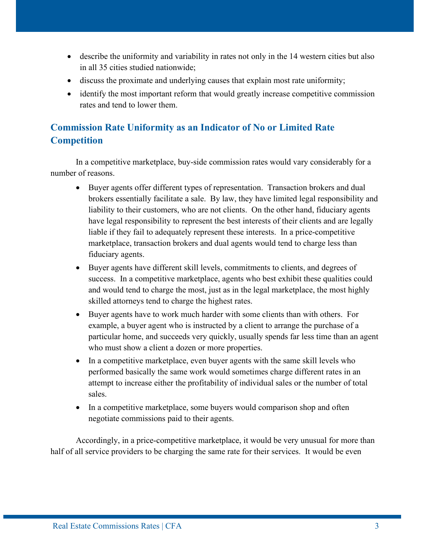- describe the uniformity and variability in rates not only in the 14 western cities but also in all 35 cities studied nationwide;
- discuss the proximate and underlying causes that explain most rate uniformity;
- identify the most important reform that would greatly increase competitive commission rates and tend to lower them.

# **Commission Rate Uniformity as an Indicator of No or Limited Rate Competition**

In a competitive marketplace, buy-side commission rates would vary considerably for a number of reasons.

- Buyer agents offer different types of representation. Transaction brokers and dual brokers essentially facilitate a sale. By law, they have limited legal responsibility and liability to their customers, who are not clients. On the other hand, fiduciary agents have legal responsibility to represent the best interests of their clients and are legally liable if they fail to adequately represent these interests. In a price-competitive marketplace, transaction brokers and dual agents would tend to charge less than fiduciary agents.
- Buyer agents have different skill levels, commitments to clients, and degrees of success. In a competitive marketplace, agents who best exhibit these qualities could and would tend to charge the most, just as in the legal marketplace, the most highly skilled attorneys tend to charge the highest rates.
- Buyer agents have to work much harder with some clients than with others. For example, a buyer agent who is instructed by a client to arrange the purchase of a particular home, and succeeds very quickly, usually spends far less time than an agent who must show a client a dozen or more properties.
- In a competitive marketplace, even buyer agents with the same skill levels who performed basically the same work would sometimes charge different rates in an attempt to increase either the profitability of individual sales or the number of total sales.
- In a competitive marketplace, some buyers would comparison shop and often negotiate commissions paid to their agents.

Accordingly, in a price-competitive marketplace, it would be very unusual for more than half of all service providers to be charging the same rate for their services. It would be even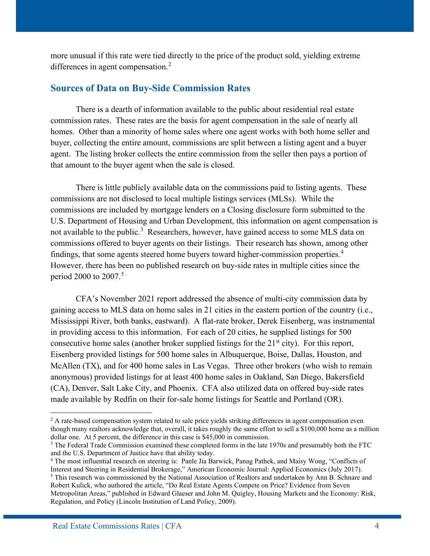more unusual if this rate were tied directly to the price of the product sold, yielding extreme differences in agent compensation.<sup>[2](#page-3-0)</sup>

#### **Sources of Data on Buy-Side Commission Rates**

There is a dearth of information available to the public about residential real estate commission rates. These rates are the basis for agent compensation in the sale of nearly all homes. Other than a minority of home sales where one agent works with both home seller and buyer, collecting the entire amount, commissions are split between a listing agent and a buyer agent. The listing broker collects the entire commission from the seller then pays a portion of that amount to the buyer agent when the sale is closed.

There is little publicly available data on the commissions paid to listing agents. These commissions are not disclosed to local multiple listings services (MLSs). While the commissions are included by mortgage lenders on a Closing disclosure form submitted to the U.S. Department of Housing and Urban Development, this information on agent compensation is not available to the public.<sup>[3](#page-3-1)</sup> Researchers, however, have gained access to some MLS data on commissions offered to buyer agents on their listings. Their research has shown, among other findings, that some agents steered home buyers toward higher-commission properties.<sup>[4](#page-3-2)</sup> However, there has been no published research on buy-side rates in multiple cities since the period 2000 to 2007.[5](#page-3-3)

CFA's November 2021 report addressed the absence of multi-city commission data by gaining access to MLS data on home sales in 21 cities in the eastern portion of the country (i.e., Mississippi River, both banks, eastward). A flat-rate broker, Derek Eisenberg, was instrumental in providing access to this information. For each of 20 cities, he supplied listings for 500 consecutive home sales (another broker supplied listings for the  $21<sup>st</sup>$  city). For this report, Eisenberg provided listings for 500 home sales in Albuquerque, Boise, Dallas, Houston, and McAllen (TX), and for 400 home sales in Las Vegas. Three other brokers (who wish to remain anonymous) provided listings for at least 400 home sales in Oakland, San Diego, Bakersfield (CA), Denver, Salt Lake City, and Phoenix. CFA also utilized data on offered buy-side rates made available by Redfin on their for-sale home listings for Seattle and Portland (OR).

<span id="page-3-0"></span><sup>&</sup>lt;sup>2</sup> A rate-based compensation system related to sale price yields striking differences in agent compensation even though many realtors acknowledge that, overall, it takes roughly the same effort to sell a \$100,000 home as a million dollar one. At 5 percent, the difference in this case is \$45,000 in commission.

<span id="page-3-1"></span><sup>&</sup>lt;sup>3</sup> The Federal Trade Commission examined these completed forms in the late 1970s and presumably both the FTC and the U.S. Department of Justice have that ability today.

<span id="page-3-2"></span><sup>4</sup> The most influential research on steering is: Panle Jia Barwick, Panag Pathek, and Maisy Wong, "Conflicts of Interest and Steering in Residential Brokerage," American Economic Journal: Applied Economics (July 2017).

<span id="page-3-3"></span><sup>5</sup> This research was commissioned by the National Association of Realtors and undertaken by Ann B. Schnare and Robert Kulick, who authored the article, "Do Real Estate Agents Compete on Price? Evidence from Seven Metropolitan Areas," published in Edward Glaeser and John M. Quigley, Housing Markets and the Economy: Risk, Regulation, and Policy (Lincoln Institution of Land Policy, 2009).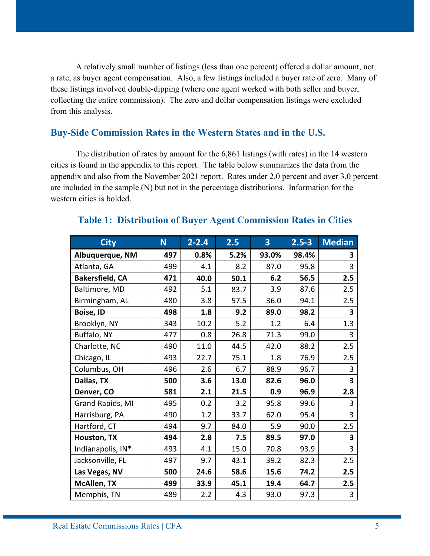A relatively small number of listings (less than one percent) offered a dollar amount, not a rate, as buyer agent compensation. Also, a few listings included a buyer rate of zero. Many of these listings involved double-dipping (where one agent worked with both seller and buyer, collecting the entire commission). The zero and dollar compensation listings were excluded from this analysis.

### **Buy-Side Commission Rates in the Western States and in the U.S.**

 The distribution of rates by amount for the 6,861 listings (with rates) in the 14 western cities is found in the appendix to this report. The table below summarizes the data from the appendix and also from the November 2021 report. Rates under 2.0 percent and over 3.0 percent are included in the sample (N) but not in the percentage distributions. Information for the western cities is bolded.

| <b>City</b>            | N   | $2 - 2.4$ | 2.5  | 3     | $2.5 - 3$ | <b>Median</b> |
|------------------------|-----|-----------|------|-------|-----------|---------------|
| Albuquerque, NM        | 497 | 0.8%      | 5.2% | 93.0% | 98.4%     | 3             |
| Atlanta, GA            | 499 | 4.1       | 8.2  | 87.0  | 95.8      | 3             |
| <b>Bakersfield, CA</b> | 471 | 40.0      | 50.1 | 6.2   | 56.5      | 2.5           |
| Baltimore, MD          | 492 | 5.1       | 83.7 | 3.9   | 87.6      | 2.5           |
| Birmingham, AL         | 480 | 3.8       | 57.5 | 36.0  | 94.1      | 2.5           |
| <b>Boise, ID</b>       | 498 | 1.8       | 9.2  | 89.0  | 98.2      | 3             |
| Brooklyn, NY           | 343 | 10.2      | 5.2  | 1.2   | 6.4       | 1.3           |
| Buffalo, NY            | 477 | 0.8       | 26.8 | 71.3  | 99.0      | 3             |
| Charlotte, NC          | 490 | 11.0      | 44.5 | 42.0  | 88.2      | 2.5           |
| Chicago, IL            | 493 | 22.7      | 75.1 | 1.8   | 76.9      | 2.5           |
| Columbus, OH           | 496 | 2.6       | 6.7  | 88.9  | 96.7      | 3             |
| Dallas, TX             | 500 | 3.6       | 13.0 | 82.6  | 96.0      | 3             |
| Denver, CO             | 581 | 2.1       | 21.5 | 0.9   | 96.9      | 2.8           |
| Grand Rapids, MI       | 495 | 0.2       | 3.2  | 95.8  | 99.6      | 3             |
| Harrisburg, PA         | 490 | 1.2       | 33.7 | 62.0  | 95.4      | 3             |
| Hartford, CT           | 494 | 9.7       | 84.0 | 5.9   | 90.0      | 2.5           |
| Houston, TX            | 494 | 2.8       | 7.5  | 89.5  | 97.0      | 3             |
| Indianapolis, IN*      | 493 | 4.1       | 15.0 | 70.8  | 93.9      | 3             |
| Jacksonville, FL       | 497 | 9.7       | 43.1 | 39.2  | 82.3      | 2.5           |
| Las Vegas, NV          | 500 | 24.6      | 58.6 | 15.6  | 74.2      | 2.5           |
| <b>McAllen, TX</b>     | 499 | 33.9      | 45.1 | 19.4  | 64.7      | 2.5           |
| Memphis, TN            | 489 | 2.2       | 4.3  | 93.0  | 97.3      | 3             |

#### **Table 1: Distribution of Buyer Agent Commission Rates in Cities**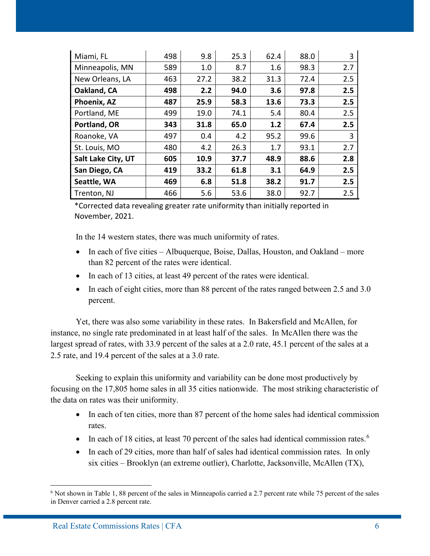| Miami, FL          | 498 | 9.8  | 25.3 | 62.4 | 88.0 | 3   |
|--------------------|-----|------|------|------|------|-----|
| Minneapolis, MN    | 589 | 1.0  | 8.7  | 1.6  | 98.3 | 2.7 |
| New Orleans, LA    | 463 | 27.2 | 38.2 | 31.3 | 72.4 | 2.5 |
| Oakland, CA        | 498 | 2.2  | 94.0 | 3.6  | 97.8 | 2.5 |
| Phoenix, AZ        | 487 | 25.9 | 58.3 | 13.6 | 73.3 | 2.5 |
| Portland, ME       | 499 | 19.0 | 74.1 | 5.4  | 80.4 | 2.5 |
| Portland, OR       | 343 | 31.8 | 65.0 | 1.2  | 67.4 | 2.5 |
| Roanoke, VA        | 497 | 0.4  | 4.2  | 95.2 | 99.6 | 3   |
| St. Louis, MO      | 480 | 4.2  | 26.3 | 1.7  | 93.1 | 2.7 |
| Salt Lake City, UT | 605 | 10.9 | 37.7 | 48.9 | 88.6 | 2.8 |
| San Diego, CA      | 419 | 33.2 | 61.8 | 3.1  | 64.9 | 2.5 |
| Seattle, WA        | 469 | 6.8  | 51.8 | 38.2 | 91.7 | 2.5 |
| Trenton, NJ        | 466 | 5.6  | 53.6 | 38.0 | 92.7 | 2.5 |

\*Corrected data revealing greater rate uniformity than initially reported in November, 2021.

In the 14 western states, there was much uniformity of rates.

- In each of five cities Albuquerque, Boise, Dallas, Houston, and Oakland more than 82 percent of the rates were identical.
- In each of 13 cities, at least 49 percent of the rates were identical.
- In each of eight cities, more than 88 percent of the rates ranged between 2.5 and 3.0 percent.

Yet, there was also some variability in these rates. In Bakersfield and McAllen, for instance, no single rate predominated in at least half of the sales. In McAllen there was the largest spread of rates, with 33.9 percent of the sales at a 2.0 rate, 45.1 percent of the sales at a 2.5 rate, and 19.4 percent of the sales at a 3.0 rate.

Seeking to explain this uniformity and variability can be done most productively by focusing on the 17,805 home sales in all 35 cities nationwide. The most striking characteristic of the data on rates was their uniformity.

- In each of ten cities, more than 87 percent of the home sales had identical commission rates.
- In each of 18 cities, at least 70 percent of the sales had identical commission rates.<sup>[6](#page-5-0)</sup>
- In each of 29 cities, more than half of sales had identical commission rates. In only six cities – Brooklyn (an extreme outlier), Charlotte, Jacksonville, McAllen (TX),

<span id="page-5-0"></span><sup>6</sup> Not shown in Table 1, 88 percent of the sales in Minneapolis carried a 2.7 percent rate while 75 percent of the sales in Denver carried a 2.8 percent rate.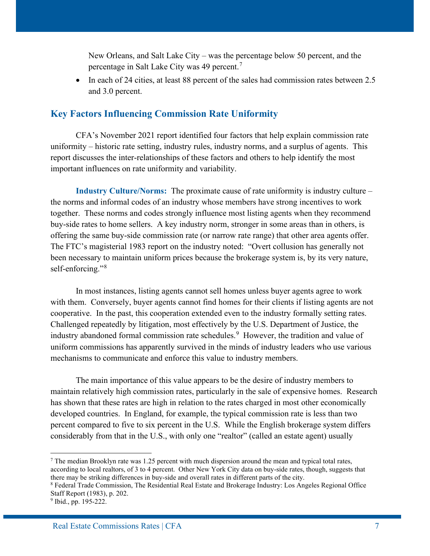New Orleans, and Salt Lake City – was the percentage below 50 percent, and the percentage in Salt Lake City was 49 percent.[7](#page-6-0)

• In each of 24 cities, at least 88 percent of the sales had commission rates between 2.5 and 3.0 percent.

#### **Key Factors Influencing Commission Rate Uniformity**

CFA's November 2021 report identified four factors that help explain commission rate uniformity – historic rate setting, industry rules, industry norms, and a surplus of agents. This report discusses the inter-relationships of these factors and others to help identify the most important influences on rate uniformity and variability.

**Industry Culture/Norms:** The proximate cause of rate uniformity is industry culture – the norms and informal codes of an industry whose members have strong incentives to work together. These norms and codes strongly influence most listing agents when they recommend buy-side rates to home sellers. A key industry norm, stronger in some areas than in others, is offering the same buy-side commission rate (or narrow rate range) that other area agents offer. The FTC's magisterial 1983 report on the industry noted: "Overt collusion has generally not been necessary to maintain uniform prices because the brokerage system is, by its very nature, self-enforcing."<sup>[8](#page-6-1)</sup>

In most instances, listing agents cannot sell homes unless buyer agents agree to work with them. Conversely, buyer agents cannot find homes for their clients if listing agents are not cooperative. In the past, this cooperation extended even to the industry formally setting rates. Challenged repeatedly by litigation, most effectively by the U.S. Department of Justice, the industry abandoned formal commission rate schedules.<sup>[9](#page-6-2)</sup> However, the tradition and value of uniform commissions has apparently survived in the minds of industry leaders who use various mechanisms to communicate and enforce this value to industry members.

The main importance of this value appears to be the desire of industry members to maintain relatively high commission rates, particularly in the sale of expensive homes. Research has shown that these rates are high in relation to the rates charged in most other economically developed countries. In England, for example, the typical commission rate is less than two percent compared to five to six percent in the U.S. While the English brokerage system differs considerably from that in the U.S., with only one "realtor" (called an estate agent) usually

<span id="page-6-0"></span> $<sup>7</sup>$  The median Brooklyn rate was 1.25 percent with much dispersion around the mean and typical total rates,</sup> according to local realtors, of 3 to 4 percent. Other New York City data on buy-side rates, though, suggests that there may be striking differences in buy-side and overall rates in different parts of the city.

<span id="page-6-1"></span><sup>8</sup> Federal Trade Commission, The Residential Real Estate and Brokerage Industry: Los Angeles Regional Office Staff Report (1983), p. 202.

<span id="page-6-2"></span><sup>&</sup>lt;sup>9</sup> Ibid., pp. 195-222.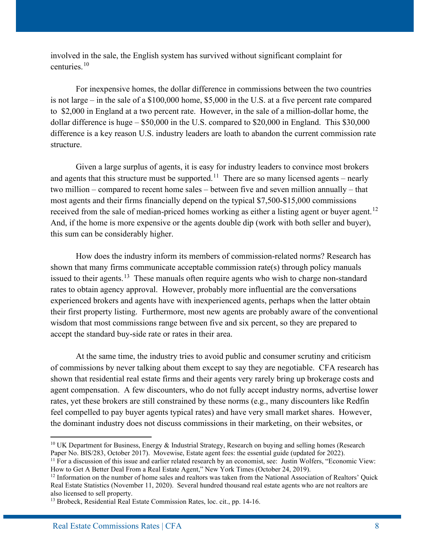involved in the sale, the English system has survived without significant complaint for centuries.[10](#page-7-0)

For inexpensive homes, the dollar difference in commissions between the two countries is not large – in the sale of a \$100,000 home, \$5,000 in the U.S. at a five percent rate compared to \$2,000 in England at a two percent rate. However, in the sale of a million-dollar home, the dollar difference is huge – \$50,000 in the U.S. compared to \$20,000 in England. This \$30,000 difference is a key reason U.S. industry leaders are loath to abandon the current commission rate structure.

Given a large surplus of agents, it is easy for industry leaders to convince most brokers and agents that this structure must be supported.<sup>[11](#page-7-1)</sup> There are so many licensed agents – nearly two million – compared to recent home sales – between five and seven million annually – that most agents and their firms financially depend on the typical \$7,500-\$15,000 commissions received from the sale of median-priced homes working as either a listing agent or buyer agent.<sup>12</sup> And, if the home is more expensive or the agents double dip (work with both seller and buyer), this sum can be considerably higher.

How does the industry inform its members of commission-related norms? Research has shown that many firms communicate acceptable commission rate(s) through policy manuals issued to their agents.<sup>13</sup> These manuals often require agents who wish to charge non-standard rates to obtain agency approval. However, probably more influential are the conversations experienced brokers and agents have with inexperienced agents, perhaps when the latter obtain their first property listing. Furthermore, most new agents are probably aware of the conventional wisdom that most commissions range between five and six percent, so they are prepared to accept the standard buy-side rate or rates in their area.

At the same time, the industry tries to avoid public and consumer scrutiny and criticism of commissions by never talking about them except to say they are negotiable. CFA research has shown that residential real estate firms and their agents very rarely bring up brokerage costs and agent compensation. A few discounters, who do not fully accept industry norms, advertise lower rates, yet these brokers are still constrained by these norms (e.g., many discounters like Redfin feel compelled to pay buyer agents typical rates) and have very small market shares. However, the dominant industry does not discuss commissions in their marketing, on their websites, or

<span id="page-7-0"></span><sup>&</sup>lt;sup>10</sup> UK Department for Business, Energy & Industrial Strategy, Research on buying and selling homes (Research Paper No. BIS/283, October 2017). Movewise, Estate agent fees: the essential guide (updated for 2022).

<span id="page-7-1"></span><sup>&</sup>lt;sup>11</sup> For a discussion of this issue and earlier related research by an economist, see: Justin Wolfers, "Economic View: How to Get A Better Deal From a Real Estate Agent," New York Times (October 24, 2019).

<span id="page-7-2"></span><sup>&</sup>lt;sup>12</sup> Information on the number of home sales and realtors was taken from the National Association of Realtors' Quick Real Estate Statistics (November 11, 2020). Several hundred thousand real estate agents who are not realtors are also licensed to sell property.

<span id="page-7-3"></span><sup>&</sup>lt;sup>13</sup> Brobeck, Residential Real Estate Commission Rates, loc. cit., pp. 14-16.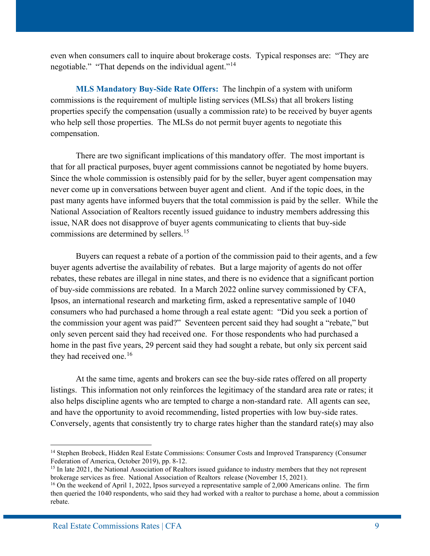even when consumers call to inquire about brokerage costs. Typical responses are: "They are negotiable." "That depends on the individual agent."<sup>[14](#page-8-0)</sup>

**MLS Mandatory Buy-Side Rate Offers:** The linchpin of a system with uniform commissions is the requirement of multiple listing services (MLSs) that all brokers listing properties specify the compensation (usually a commission rate) to be received by buyer agents who help sell those properties. The MLSs do not permit buyer agents to negotiate this compensation.

There are two significant implications of this mandatory offer. The most important is that for all practical purposes, buyer agent commissions cannot be negotiated by home buyers. Since the whole commission is ostensibly paid for by the seller, buyer agent compensation may never come up in conversations between buyer agent and client. And if the topic does, in the past many agents have informed buyers that the total commission is paid by the seller. While the National Association of Realtors recently issued guidance to industry members addressing this issue, NAR does not disapprove of buyer agents communicating to clients that buy-side commissions are determined by sellers.<sup>15</sup>

Buyers can request a rebate of a portion of the commission paid to their agents, and a few buyer agents advertise the availability of rebates. But a large majority of agents do not offer rebates, these rebates are illegal in nine states, and there is no evidence that a significant portion of buy-side commissions are rebated. In a March 2022 online survey commissioned by CFA, Ipsos, an international research and marketing firm, asked a representative sample of 1040 consumers who had purchased a home through a real estate agent: "Did you seek a portion of the commission your agent was paid?" Seventeen percent said they had sought a "rebate," but only seven percent said they had received one. For those respondents who had purchased a home in the past five years, 29 percent said they had sought a rebate, but only six percent said they had received one.<sup>[16](#page-8-2)</sup>

At the same time, agents and brokers can see the buy-side rates offered on all property listings. This information not only reinforces the legitimacy of the standard area rate or rates; it also helps discipline agents who are tempted to charge a non-standard rate. All agents can see, and have the opportunity to avoid recommending, listed properties with low buy-side rates. Conversely, agents that consistently try to charge rates higher than the standard rate(s) may also

<span id="page-8-0"></span><sup>14</sup> Stephen Brobeck, Hidden Real Estate Commissions: Consumer Costs and Improved Transparency (Consumer Federation of America, October 2019), pp. 8-12.

<span id="page-8-1"></span><sup>&</sup>lt;sup>15</sup> In late 2021, the National Association of Realtors issued guidance to industry members that they not represent brokerage services as free. National Association of Realtors release (November 15, 2021).

<span id="page-8-2"></span><sup>&</sup>lt;sup>16</sup> On the weekend of April 1, 2022, Ipsos surveyed a representative sample of 2,000 Americans online. The firm then queried the 1040 respondents, who said they had worked with a realtor to purchase a home, about a commission rebate.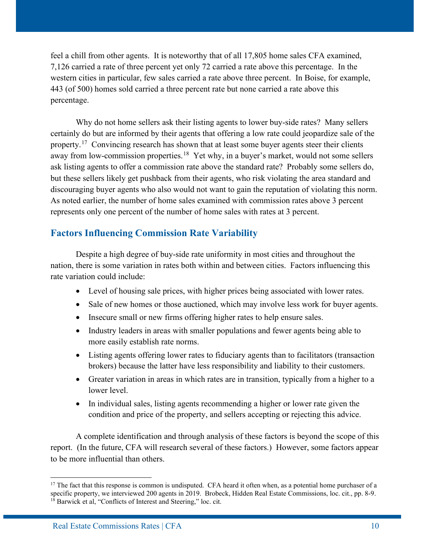feel a chill from other agents. It is noteworthy that of all 17,805 home sales CFA examined, 7,126 carried a rate of three percent yet only 72 carried a rate above this percentage. In the western cities in particular, few sales carried a rate above three percent. In Boise, for example, 443 (of 500) homes sold carried a three percent rate but none carried a rate above this percentage.

Why do not home sellers ask their listing agents to lower buy-side rates? Many sellers certainly do but are informed by their agents that offering a low rate could jeopardize sale of the property.<sup>[17](#page-9-0)</sup> Convincing research has shown that at least some buyer agents steer their clients away from low-commission properties.<sup>[18](#page-9-1)</sup> Yet why, in a buyer's market, would not some sellers ask listing agents to offer a commission rate above the standard rate? Probably some sellers do, but these sellers likely get pushback from their agents, who risk violating the area standard and discouraging buyer agents who also would not want to gain the reputation of violating this norm. As noted earlier, the number of home sales examined with commission rates above 3 percent represents only one percent of the number of home sales with rates at 3 percent.

## **Factors Influencing Commission Rate Variability**

Despite a high degree of buy-side rate uniformity in most cities and throughout the nation, there is some variation in rates both within and between cities. Factors influencing this rate variation could include:

- Level of housing sale prices, with higher prices being associated with lower rates.
- Sale of new homes or those auctioned, which may involve less work for buyer agents.
- Insecure small or new firms offering higher rates to help ensure sales.
- Industry leaders in areas with smaller populations and fewer agents being able to more easily establish rate norms.
- Listing agents offering lower rates to fiduciary agents than to facilitators (transaction brokers) because the latter have less responsibility and liability to their customers.
- Greater variation in areas in which rates are in transition, typically from a higher to a lower level.
- In individual sales, listing agents recommending a higher or lower rate given the condition and price of the property, and sellers accepting or rejecting this advice.

A complete identification and through analysis of these factors is beyond the scope of this report. (In the future, CFA will research several of these factors.) However, some factors appear to be more influential than others.

<span id="page-9-1"></span><span id="page-9-0"></span> $17$  The fact that this response is common is undisputed. CFA heard it often when, as a potential home purchaser of a specific property, we interviewed 200 agents in 2019. Brobeck, Hidden Real Estate Commissions, loc. cit., pp. 8-9. <sup>18</sup> Barwick et al, "Conflicts of Interest and Steering," loc. cit.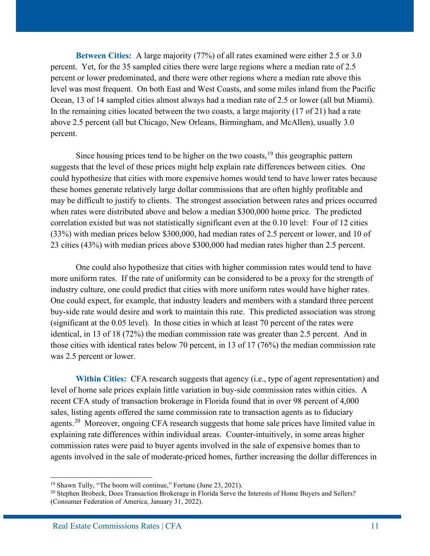**Between Cities:** A large majority (77%) of all rates examined were either 2.5 or 3.0 percent. Yet, for the 35 sampled cities there were large regions where a median rate of 2.5 percent or lower predominated, and there were other regions where a median rate above this level was most frequent. On both East and West Coasts, and some miles inland from the Pacific Ocean, 13 of 14 sampled cities almost always had a median rate of 2.5 or lower (all but Miami). In the remaining cities located between the two coasts, a large majority (17 of 21) had a rate above 2.5 percent (all but Chicago, New Orleans, Birmingham, and McAllen), usually 3.0 percent.

Since housing prices tend to be higher on the two coasts,  $19$  this geographic pattern suggests that the level of these prices might help explain rate differences between cities. One could hypothesize that cities with more expensive homes would tend to have lower rates because these homes generate relatively large dollar commissions that are often highly profitable and may be difficult to justify to clients. The strongest association between rates and prices occurred when rates were distributed above and below a median \$300,000 home price. The predicted correlation existed but was not statistically significant even at the 0.10 level: Four of 12 cities (33%) with median prices below \$300,000, had median rates of 2.5 percent or lower, and 10 of 23 cities (43%) with median prices above \$300,000 had median rates higher than 2.5 percent.

One could also hypothesize that cities with higher commission rates would tend to have more uniform rates. If the rate of uniformity can be considered to be a proxy for the strength of industry culture, one could predict that cities with more uniform rates would have higher rates. One could expect, for example, that industry leaders and members with a standard three percent buy-side rate would desire and work to maintain this rate. This predicted association was strong (significant at the 0.05 level). In those cities in which at least 70 percent of the rates were identical, in 13 of 18 (72%) the median commission rate was greater than 2.5 percent. And in those cities with identical rates below 70 percent, in 13 of 17 (76%) the median commission rate was 2.5 percent or lower.

**Within Cities:** CFA research suggests that agency (i.e., type of agent representation) and level of home sale prices explain little variation in buy-side commission rates within cities. A recent CFA study of transaction brokerage in Florida found that in over 98 percent of 4,000 sales, listing agents offered the same commission rate to transaction agents as to fiduciary agents.<sup>[20](#page-10-1)</sup> Moreover, ongoing CFA research suggests that home sale prices have limited value in explaining rate differences within individual areas. Counter-intuitively, in some areas higher commission rates were paid to buyer agents involved in the sale of expensive homes than to agents involved in the sale of moderate-priced homes, further increasing the dollar differences in

<span id="page-10-0"></span><sup>&</sup>lt;sup>19</sup> Shawn Tully, "The boom will continue," Fortune (June 23, 2021).

<span id="page-10-1"></span><sup>&</sup>lt;sup>20</sup> Stephen Brobeck, Does Transaction Brokerage in Florida Serve the Interests of Home Buyers and Sellers? (Consumer Federation of America, January 31, 2022).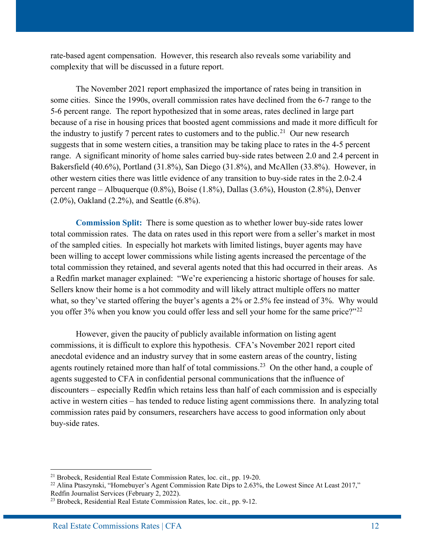rate-based agent compensation. However, this research also reveals some variability and complexity that will be discussed in a future report.

The November 2021 report emphasized the importance of rates being in transition in some cities. Since the 1990s, overall commission rates have declined from the 6-7 range to the 5-6 percent range. The report hypothesized that in some areas, rates declined in large part because of a rise in housing prices that boosted agent commissions and made it more difficult for the industry to justify 7 percent rates to customers and to the public.<sup>21</sup> Our new research suggests that in some western cities, a transition may be taking place to rates in the 4-5 percent range. A significant minority of home sales carried buy-side rates between 2.0 and 2.4 percent in Bakersfield (40.6%), Portland (31.8%), San Diego (31.8%), and McAllen (33.8%). However, in other western cities there was little evidence of any transition to buy-side rates in the 2.0-2.4 percent range – Albuquerque (0.8%), Boise (1.8%), Dallas (3.6%), Houston (2.8%), Denver (2.0%), Oakland (2.2%), and Seattle (6.8%).

**Commission Split:** There is some question as to whether lower buy-side rates lower total commission rates. The data on rates used in this report were from a seller's market in most of the sampled cities. In especially hot markets with limited listings, buyer agents may have been willing to accept lower commissions while listing agents increased the percentage of the total commission they retained, and several agents noted that this had occurred in their areas. As a Redfin market manager explained: "We're experiencing a historic shortage of houses for sale. Sellers know their home is a hot commodity and will likely attract multiple offers no matter what, so they've started offering the buyer's agents a 2% or 2.5% fee instead of 3%. Why would you offer 3% when you know you could offer less and sell your home for the same price?"<sup>[22](#page-11-1)</sup>

However, given the paucity of publicly available information on listing agent commissions, it is difficult to explore this hypothesis. CFA's November 2021 report cited anecdotal evidence and an industry survey that in some eastern areas of the country, listing agents routinely retained more than half of total commissions.<sup>[23](#page-11-2)</sup> On the other hand, a couple of agents suggested to CFA in confidential personal communications that the influence of discounters – especially Redfin which retains less than half of each commission and is especially active in western cities – has tended to reduce listing agent commissions there. In analyzing total commission rates paid by consumers, researchers have access to good information only about buy-side rates.

<span id="page-11-0"></span><sup>21</sup> Brobeck, Residential Real Estate Commission Rates, loc. cit., pp. 19-20.

<span id="page-11-1"></span><sup>&</sup>lt;sup>22</sup> Alina Ptaszynski, "Homebuyer's Agent Commission Rate Dips to 2.63%, the Lowest Since At Least 2017," Redfin Journalist Services (February 2, 2022).

<span id="page-11-2"></span><sup>&</sup>lt;sup>23</sup> Brobeck, Residential Real Estate Commission Rates, loc. cit., pp. 9-12.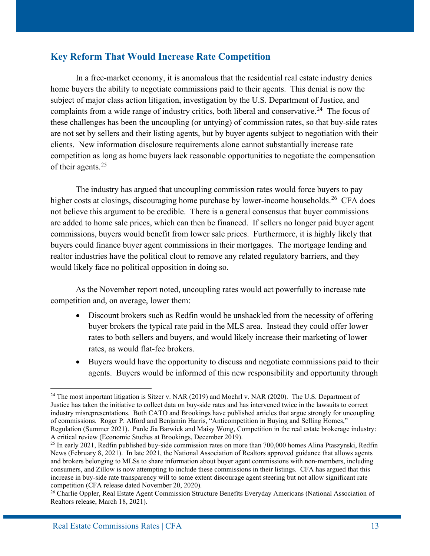#### **Key Reform That Would Increase Rate Competition**

In a free-market economy, it is anomalous that the residential real estate industry denies home buyers the ability to negotiate commissions paid to their agents. This denial is now the subject of major class action litigation, investigation by the U.S. Department of Justice, and complaints from a wide range of industry critics, both liberal and conservative.<sup>24</sup> The focus of these challenges has been the uncoupling (or untying) of commission rates, so that buy-side rates are not set by sellers and their listing agents, but by buyer agents subject to negotiation with their clients. New information disclosure requirements alone cannot substantially increase rate competition as long as home buyers lack reasonable opportunities to negotiate the compensation of their agents.[25](#page-12-1)

The industry has argued that uncoupling commission rates would force buyers to pay higher costs at closings, discouraging home purchase by lower-income households.<sup>[26](#page-12-2)</sup> CFA does not believe this argument to be credible. There is a general consensus that buyer commissions are added to home sale prices, which can then be financed. If sellers no longer paid buyer agent commissions, buyers would benefit from lower sale prices. Furthermore, it is highly likely that buyers could finance buyer agent commissions in their mortgages. The mortgage lending and realtor industries have the political clout to remove any related regulatory barriers, and they would likely face no political opposition in doing so.

As the November report noted, uncoupling rates would act powerfully to increase rate competition and, on average, lower them:

- Discount brokers such as Redfin would be unshackled from the necessity of offering buyer brokers the typical rate paid in the MLS area. Instead they could offer lower rates to both sellers and buyers, and would likely increase their marketing of lower rates, as would flat-fee brokers.
- Buyers would have the opportunity to discuss and negotiate commissions paid to their agents. Buyers would be informed of this new responsibility and opportunity through

<span id="page-12-0"></span><sup>&</sup>lt;sup>24</sup> The most important litigation is Sitzer v. NAR (2019) and Moehrl v. NAR (2020). The U.S. Department of Justice has taken the initiative to collect data on buy-side rates and has intervened twice in the lawsuits to correct industry misrepresentations. Both CATO and Brookings have published articles that argue strongly for uncoupling of commissions. Roger P. Alford and Benjamin Harris, "Anticompetition in Buying and Selling Homes," Regulation (Summer 2021). Panle Jia Barwick and Maisy Wong, Competition in the real estate brokerage industry: A critical review (Economic Studies at Brookings, December 2019).

<span id="page-12-1"></span> $^{25}$  In early 2021, Redfin published buy-side commission rates on more than 700,000 homes Alina Ptaszynski, Redfin News (February 8, 2021). In late 2021, the National Association of Realtors approved guidance that allows agents and brokers belonging to MLSs to share information about buyer agent commissions with non-members, including consumers, and Zillow is now attempting to include these commissions in their listings. CFA has argued that this increase in buy-side rate transparency will to some extent discourage agent steering but not allow significant rate competition (CFA release dated November 20, 2020).

<span id="page-12-2"></span><sup>&</sup>lt;sup>26</sup> Charlie Oppler, Real Estate Agent Commission Structure Benefits Everyday Americans (National Association of Realtors release, March 18, 2021).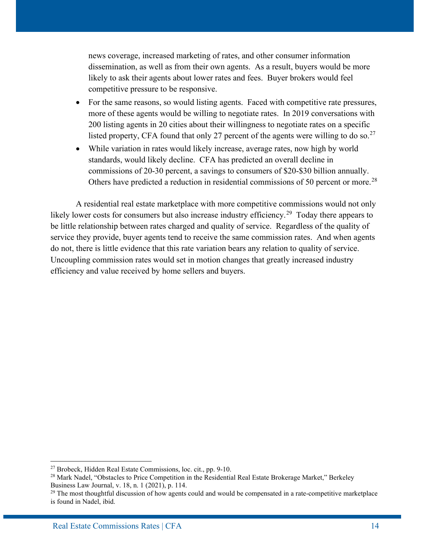news coverage, increased marketing of rates, and other consumer information dissemination, as well as from their own agents. As a result, buyers would be more likely to ask their agents about lower rates and fees. Buyer brokers would feel competitive pressure to be responsive.

- For the same reasons, so would listing agents. Faced with competitive rate pressures, more of these agents would be willing to negotiate rates. In 2019 conversations with 200 listing agents in 20 cities about their willingness to negotiate rates on a specific listed property, CFA found that only [27](#page-13-0) percent of the agents were willing to do so.<sup>27</sup>
- While variation in rates would likely increase, average rates, now high by world standards, would likely decline. CFA has predicted an overall decline in commissions of 20-30 percent, a savings to consumers of \$20-\$30 billion annually. Others have predicted a reduction in residential commissions of 50 percent or more.<sup>[28](#page-13-1)</sup>

A residential real estate marketplace with more competitive commissions would not only likely lower costs for consumers but also increase industry efficiency.<sup>29</sup> Today there appears to be little relationship between rates charged and quality of service. Regardless of the quality of service they provide, buyer agents tend to receive the same commission rates. And when agents do not, there is little evidence that this rate variation bears any relation to quality of service. Uncoupling commission rates would set in motion changes that greatly increased industry efficiency and value received by home sellers and buyers.

<span id="page-13-1"></span><span id="page-13-0"></span><sup>&</sup>lt;sup>27</sup> Brobeck, Hidden Real Estate Commissions, loc. cit., pp. 9-10.<br><sup>28</sup> Mark Nadel, "Obstacles to Price Competition in the Residential Real Estate Brokerage Market," Berkeley Business Law Journal, v. 18, n. 1 (2021), p. 114.

<span id="page-13-2"></span> $29$  The most thoughtful discussion of how agents could and would be compensated in a rate-competitive marketplace is found in Nadel, ibid.